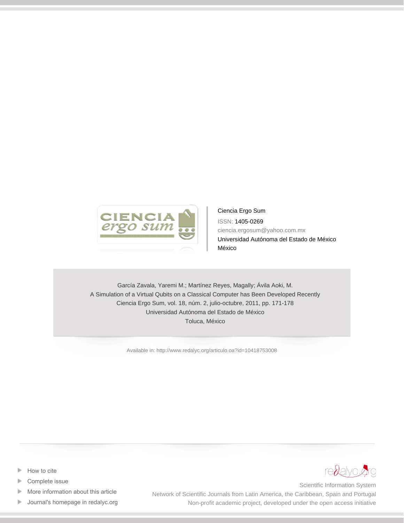

Ciencia Ergo Sum ISSN: 1405-0269 ciencia.ergosum@yahoo.com.mx Universidad Autónoma del Estado de México México

García Zavala, Yaremi M.; Martínez Reyes, Magally; Ávila Aoki, M. A Simulation of a Virtual Qubits on a Classical Computer has Been Developed Recently Ciencia Ergo Sum, vol. 18, núm. 2, julio-octubre, 2011, pp. 171-178 Universidad Autónoma del Estado de México Toluca, México

[Available in: http://www.redalyc.org/articulo.oa?id=10418753008](http://www.redalyc.org/articulo.oa?id=10418753008)

- [How to cite](http://www.redalyc.org/comocitar.oa?id=10418753008) Þ
- [Complete issue](http://www.redalyc.org/fasciculo.oa?id=104&numero=18753)
- [More information about this article](http://www.redalyc.org/articulo.oa?id=10418753008) Þ
- [Journal's homepage in redalyc.org](http://www.redalyc.org/revista.oa?id=104)  $\mathbb P$



Scientific Information System Network of Scientific Journals from Latin America, the Caribbean, Spain and Portugal Non-profit academic project, developed under the open access initiative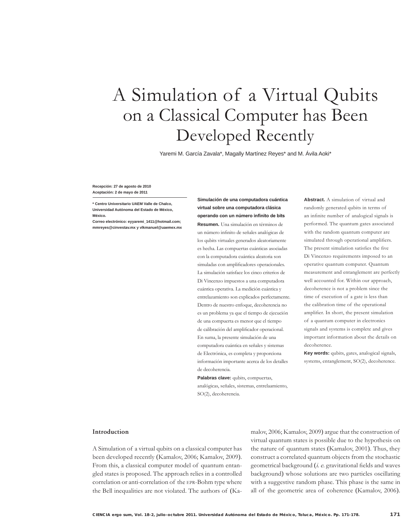# A Simulation of a Virtual Qubits on a Classical Computer has Been Developed Recently

Yaremi M. García Zavala\*, Magally Martínez Reyes\* and M. Ávila Aoki\*

Simulación de una computadora cuántica

Recepción: 27 de agosto de 2010 Aceptación: 2 de mayo de 2011

\* Centro Universitario UAEM Valle de Chalco, Universidad Autónoma del Estado de México, México

Correo electrónico: eyyaremi\_1411@hotmail.com; mmreves@cinvestav.mx v vlkmanuel@uaemex.mx virtual sobre una computadora clásica operando con un número infinito de bits Resumen. Una simulación en términos de un número infinito de señales analógicas de los qubits virtuales generados aleatoriamente es hecha. Las compuertas cuánticas asociadas con la computadora cuántica aleatoria son simuladas con amplificadores operacionales. La simulación satisface los cinco criterios de Di Vincenzo impuestos a una computadora cuántica operativa. La medición cuántica y entrelazamiento son explicados perfectamente. Dentro de nuestro enfoque, decoherencia no es un problema ya que el tiempo de ejecución de una compuerta es menor que el tiempo de calibración del amplificador operacional. En suma, la presente simulación de una computadora cuántica en señales y sistemas de Electrónica, es completa y proporciona información importante acerca de los detalles de decoherencia.

Palabras clave: qubits, compuertas, analógicas, señales, sistemas, entrelaamiento, SO(2), decoherencia.

Abstract. A simulation of virtual and randomly generated qubits in terms of an infinite number of analogical signals is performed. The quantum gates associated with the random quantum computer are simulated through operational amplifiers. The present simulation satisfies the five Di Vincenzo requirements imposed to an operative quantum computer. Quantum measurement and entanglement are perfectly well accounted for. Within our approach, decoherence is not a problem since the time of execution of a gate is less than the calibration time of the operational amplifier. In short, the present simulation of a quantum computer in electronics signals and systems is complete and gives important information about the details on decoherence.

Key words: qubits, gates, analogical signals, systems, entanglement, SO(2), decoherence.

### Introduction

A Simulation of a virtual qubits on a classical computer has been developed recently (Kamalov, 2006; Kamalov, 2009). From this, a classical computer model of quantum entangled states is proposed. The approach relies in a controlled correlation or anti-correlation of the EPR-Bohm type where the Bell inequalities are not violated. The authors of (Kamalov, 2006; Kamalov, 2009) argue that the construction of virtual quantum states is possible due to the hypothesis on the nature of quantum states (Kamalov, 2001). Thus, they construct a correlated quantum objects from the stochastic geometrical background (i. e. gravitational fields and waves background) whose solutions are two particles oscillating with a suggestive random phase. This phase is the same in all of the geometric area of coherence (Kamalov, 2006).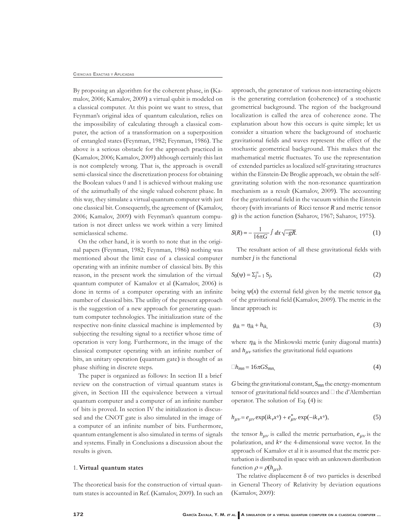By proposing an algorithm for the coherent phase, in (Kamalov, 2006; Kamalov, 2009) a virtual qubit is modeled on a classical computer. At this point we want to stress, that Feynman's original idea of quantum calculation, relies on the impossibility of calculating through a classical computer, the action of a transformation on a superposition of entangled states (Feynman, 1982; Feynman, 1986). The above is a serious obstacle for the approach practiced in (Kamalov, 2006; Kamalov, 2009) although certainly this last is not completely wrong. That is, the approach is overall semi-classical since the discretization process for obtaining the Boolean values 0 and 1 is achieved without making use of the azimuthally of the single valued coherent phase. In this way, they simulate a virtual quantum computer with just one classical bit. Consequently, the agreement of (Kamalov, 2006; Kamalov, 2009) with Feynman's quantum computation is not direct unless we work within a very limited semiclassical scheme.

On the other hand, it is worth to note that in the original papers (Feynman, 1982; Feynman, 1986) nothing was mentioned about the limit case of a classical computer operating with an infinite number of classical bits. By this reason, in the present work the simulation of the virtual quantum computer of Kamalov et al (Kamalov, 2006) is done in terms of a computer operating with an infinite number of classical bits. The utility of the present approach is the suggestion of a new approach for generating quantum computer technologies. The initialization state of the respective non-finite classical machine is implemented by subjecting the resulting signal to a rectifier whose time of operation is very long. Furthermore, in the image of the classical computer operating with an infinite number of bits, an unitary operation (quantum gate) is thought of as phase shifting in discrete steps.

The paper is organized as follows: In section II a brief review on the construction of virtual quantum states is given, in Section III the equivalence between a virtual quantum computer and a computer of an infinite number of bits is proved. In section IV the initialization is discussed and the CNOT gate is also simulated in the image of a computer of an infinite number of bits. Furthermore, quantum entanglement is also simulated in terms of signals and systems. Finally in Conclusions a discussion about the results is given.

## 1. Virtual quantum states

The theoretical basis for the construction of virtual quantum states is accounted in Ref. (Kamalov, 2009). In such an

approach, the generator of various non-interacting objects is the generating correlation (coherence) of a stochastic geometrical background. The region of the background localization is called the area of coherence zone. The explanation about how this occurs is quite simple; let us consider a situation where the background of stochastic gravitational fields and waves represent the effect of the stochastic geometrical background. This makes that the mathematical metric fluctuates. To use the representation of extended particles as localized self-gravitating structures within the Einstein-De Broglie approach, we obtain the selfgravitating solution with the non-resonance quantization mechanism as a result (Kamalov, 2009). The accounting for the gravitational field in the vacuum within the Einstein theory (with invariants of Ricci tensor  $R$  and metric tensor g) is the action function (Saharov, 1967; Saharov, 1975).

$$
S(R) = -\frac{1}{16\pi G} \int dx \sqrt{-gR}.
$$
 (1)

The resultant action of all these gravitational fields with number  $j$  is the functional

$$
S_0(\psi) = \sum_{j=1}^{\infty} S_j,\tag{2}
$$

being  $\psi(x)$  the external field given by the metric tensor  $g_{ik}$ of the gravitational field (Kamalov, 2009). The metric in the linear approach is:

$$
g_{ik} = \eta_{ik} + h_{ik},\tag{3}
$$

where  $\eta_{ik}$  is the Minkowski metric (unity diagonal matrix) and  $h_{\mu\nu}$  satisfies the gravitational field equations

$$
\Box h_{mn} = 16\pi G S_{mn},\tag{4}
$$

G being the gravitational constant,  $S_{mn}$  the energy-momentum tensor of gravitational field sources and □ the d'Alembertian operator. The solution of Eq.  $(4)$  is:

$$
h_{\mu\nu} = e_{\mu\nu} \exp(ik_{\nu}x^{\nu}) + e_{\mu\nu}^{*} \exp(-ik_{\nu}x^{\nu}),
$$
\n(5)

the tensor  $h_{\mu\nu}$  is called the metric perturbation,  $e_{\mu\nu}$  is the polarization, and  $k^v$  the 4-dimensional wave vector. In the approach of Kamalov et al it is assumed that the metric perturbation is distributed in space with an unknown distribution function  $\rho = \rho(h_{\mu\nu})$ .

The relative displacement  $\delta$  of two particles is described in General Theory of Relativity by deviation equations (Kamalov, 2009):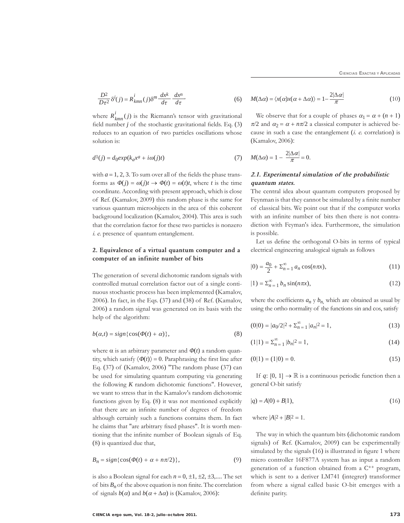$$
\frac{D^2}{D\tau^2} \delta^i(j) = R^i_{kmn}(j) \delta^m \frac{dx^k}{d\tau} \frac{dx^n}{d\tau}
$$

where  $R_{kmn}^{l}(j)$  is the Riemann's tensor with gravitational field number  $j$  of the stochastic gravitational fields. Eq.  $(3)$ reduces to an equation of two particles oscillations whose solution is:

$$
d^{1}(j) = d_{0}exp(k_{a}x^{a} + i\omega(j)t)
$$
\n(7)

with  $a = 1, 2, 3$ . To sum over all of the fields the phase transforms as  $\Phi(j) = \omega(j)t \rightarrow \Phi(t) = \omega(t)t$ , where t is the time coordinate. According with present approach, which is close of Ref. (Kamalov, 2009) this random phase is the same for various quantum microobjects in the area of this coherent background localization (Kamalov, 2004). This area is such that the correlation factor for these two particles is nonzero *i. e.* presence of quantum entanglement.

# 2. Equivalence of a virtual quantum computer and a computer of an infinite number of bits

The generation of several dichotomic random signals with controlled mutual correlation factor out of a single continuous stochastic process has been implemented (Kamalov, 2006). In fact, in the Eqs. (37) and (38) of Ref. (Kamalov, 2006) a random signal was generated on its basis with the help of the algorithm:

$$
b(\alpha, t) = sign\{\cos(\Phi(t) + \alpha)\},\tag{8}
$$

where  $\alpha$  is an arbitrary parameter and  $\Phi(t)$  a random quantity, which satisfy  $\langle \Phi(t) \rangle = 0$ . Paraphrasing the first line after Eq. (37) of (Kamalov, 2006) "The random phase (37) can be used for simulating quantum computing via generating the following  $K$  random dichotomic functions". However, we want to stress that in the Kamalov's random dichotomic functions given by Eq. (8) it was not mentioned explicitly that there are an infinite number of degrees of freedom although certainly such a functions contains them. In fact he claims that "are arbitrary fixed phases". It is worth mentioning that the infinite number of Boolean signals of Eq. (8) is quantized due that,

$$
B_n = sign\{\cos(\Phi(t) + \alpha + n\pi/2)\},\tag{9}
$$

is also a Boolean signal for each  $n = 0, \pm 1, \pm 2, \pm 3, \dots$ . The set of bits  $B_n$  of the above equation is non finite. The correlation of signals  $b(\alpha)$  and  $b(\alpha + \Delta \alpha)$  is (Kamalov, 2006):

(6) 
$$
M(\Delta \alpha) = \langle x(\alpha)x(\alpha + \Delta \alpha) \rangle = 1 - \frac{2|\Delta \alpha|}{\pi}
$$
 (10)

We observe that for a couple of phases  $\alpha_1 = \alpha + (n + 1)$  $\pi/2$  and  $\alpha_2 = \alpha + n\pi/2$  a classical computer is achieved because in such a case the entanglement  $(i. e. correlation)$  is (Kamalov, 2006):

$$
M(\Delta \alpha) = 1 - \frac{2|\Delta \alpha|}{\pi} = 0.
$$

# 2.1. Experimental simulation of the probabilistic quantum states.

The central idea about quantum computers proposed by Feynman is that they cannot be simulated by a finite number of classical bits. We point out that if the computer works with an infinite number of bits then there is not contradiction with Feyman's idea. Furthermore, the simulation is possible.

Let us define the orthogonal O-bits in terms of typical electrical engineering analogical signals as follows

$$
|0) = \frac{a_0}{2} + \Sigma_{n=1}^{\infty} a_n \cos(n\pi x),
$$
 (11)

$$
|1) = \sum_{n=1}^{\infty} b_n \sin(n\pi x), \qquad (12)
$$

where the coefficients  $a_n y b_n$ , which are obtained as usual by using the ortho normality of the functions sin and cos, satisfy

$$
(0|0) = |a_0/2|^2 + \sum_{n=1}^{\infty} |a_n|^2 = 1,
$$
\n(13)

$$
(1|1) = \sum_{n=1}^{\infty} |b_n|^2 = 1,
$$
\n(14)

$$
(0|1) = (1|0) = 0.
$$
\n<sup>(15)</sup>

If q: [0, 1]  $\rightarrow \mathbb{R}$  is a continuous periodic function then a general O-bit satisfy

$$
|q) = A|0) + B|1),
$$
\n(16)

where  $|A|^2 + |B|^2 = 1$ .

The way in which the quantum bits (dichotomic random signals) of Ref. (Kamalov, 2009) can be experimentally simulated by the signals (16) is illustrated in figure 1 where micro controller 16F877A system has as input a random generation of a function obtained from a C<sup>++</sup> program, which is sent to a deriver LM741 (integrer) transformer from where a signal called basic O-bit emerges with a definite parity.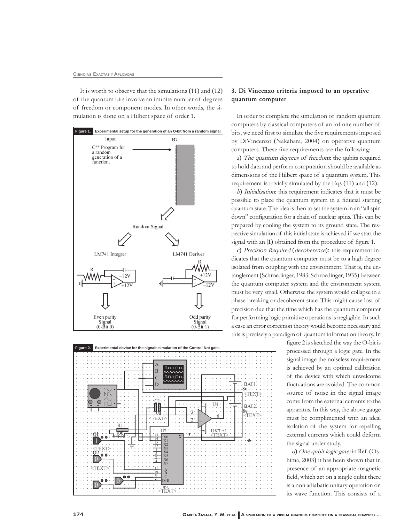It is worth to observe that the simulations (11) and (12) of the quantum bits involve an infinite number of degrees of freedom or component modes. In other words, the simulation is done on a Hilbert space of order 1.





# 3. Di Vincenzo criteria imposed to an operative quantum computer

In order to complete the simulation of random quantum computers by classical computers of an infinite number of bits, we need first to simulate the five requirements imposed by DiVincenzo (Nakahara, 2004) on operative quantum computers. These five requirements are the following:

a) The quantum degrees of freedom: the qubits required to hold data and perform computation should be available as dimensions of the Hilbert space of a quantum system. This requirement is trivially simulated by the Eqs (11) and (12).

b) Initialization: this requirement indicates that it must be possible to place the quantum system in a fiducial starting quantum state. The idea is then to set the system in an "all spin down" configuration for a chain of nuclear spins. This can be prepared by cooling the system to its ground state. The respective simulation of this initial state is achieved if we start the signal with an (1) obtained from the procedure of figure 1.

c) Precision Required (decoherence): this requirement indicates that the quantum computer must be to a high degree isolated from coupling with the environment. That is, the entanglement (Schroedinger, 1983; Schroedinger, 1935) between the quantum computer system and the environment system must be very small. Otherwise the system would collapse in a phase-breaking or decoherent state. This might cause lost of precision due that the time which has the quantum computer for performing logic primitive operations is negligible. In such a case an error correction theory would become necessary and this is precisely a paradigm of quantum information theory. In

> figure 2 is sketched the way the O-bit is processed through a logic gate. In the signal image the noiseless requirement is achieved by an optimal calibration of the device with which unwelcome fluctuations are avoided. The common source of noise in the signal image come from the external currents to the apparatus. In this way, the above gauge must be complimented with an ideal isolation of the system for repelling external currents which could deform the signal under study.

> d) One qubit logic gate: in Ref. (Oshima, 2003) it has been shown that in presence of an appropriate magnetic field, which act on a single qubit there is a non adiabatic unitary operation on its wave function. This consists of a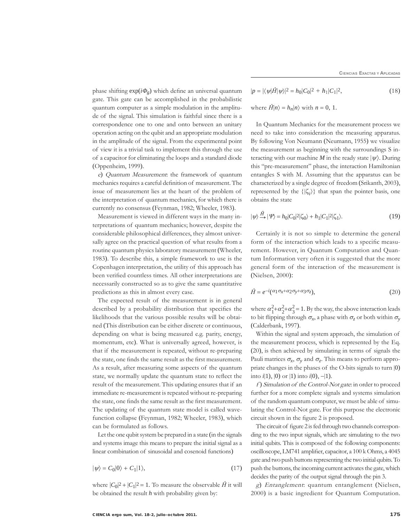CIENCIAS EXACTAS Y APLICADAS

phase shifting  $\exp(i\Phi_g)$  which define an universal quantum gate. This gate can be accomplished in the probabilistic quantum computer as a simple modulation in the amplitude of the signal. This simulation is faithful since there is a correspondence one to one and onto between an unitary operation acting on the qubit and an appropriate modulation in the amplitude of the signal. From the experimental point of view it is a trivial task to implement this through the use of a capacitor for eliminating the loops and a standard diode (Oppenheim, 1999).

e) Quantum Measurement: the framework of quantum mechanics requires a careful definition of measurement. The issue of measurement lies at the heart of the problem of the interpretation of quantum mechanics, for which there is currently no consensus (Feynman, 1982; Wheeler, 1983).

Measurement is viewed in different ways in the many interpretations of quantum mechanics; however, despite the considerable philosophical differences, they almost universally agree on the practical question of what results from a routine quantum physics laboratory measurement (Wheeler, 1983). To describe this, a simple framework to use is the Copenhagen interpretation, the utility of this approach has been verified countless times. All other interpretations are necessarily constructed so as to give the same quantitative predictions as this in almost every case.

The expected result of the measurement is in general described by a probability distribution that specifies the likelihoods that the various possible results will be obtained (This distribution can be either discrete or continuous, depending on what is being measured e.g. parity, energy, momentum, etc). What is universally agreed, however, is that if the measurement is repeated, without re-preparing the state, one finds the same result as the first measurement. As a result, after measuring some aspects of the quantum state, we normally update the quantum state to reflect the result of the measurement. This updating ensures that if an immediate re-measurement is repeated without re-preparing the state, one finds the same result as the first measurement. The updating of the quantum state model is called wavefunction collapse (Feynman, 1982; Wheeler, 1983), which can be formulated as follows.

Let the one qubit system be prepared in a state (in the signals and systems image this means to prepare the initial signal as a linear combination of sinusoidal and cosenoid functions)

$$
|\psi\rangle = C_0|0\rangle + C_1|1\rangle,\tag{17}
$$

where  $|C_0|^2 + |C_1|^2 = 1$ . To measure the observable  $\hat{H}$  it will be obtained the result  $h$  with probability given by:

$$
|p| = |\langle \psi | \hat{H} | \psi \rangle|^2 = h_0 |C_0|^2 + h_1 |C_1|^2,
$$
  
where  $\hat{H} | n \rangle = h_n | n \rangle$  with  $n = 0, 1$ . (18)

In Quantum Mechanics for the measurement process we need to take into consideration the measuring apparatus. By following Von Neumann (Neumann, 1955) we visualize the measurement as beginning with the surroundings S interacting with our machine *M* in the ready state  $|\psi\rangle$ . During this "pre-measurement" phase, the interaction Hamiltonian entangles S with M. Assuming that the apparatus can be characterized by a single degree of freedom (Srikanth, 2003), represented by the  $\{|\zeta_i\rangle\}$  that span the pointer basis, one obtains the state

$$
|\psi\rangle \stackrel{H}{\longrightarrow} |\Psi\rangle = h_0|C_0|^2|\zeta_0\rangle + h_1|C_1|^2|\zeta_1\rangle. \tag{19}
$$

Certainly it is not so simple to determine the general form of the interaction which leads to a specific measurement. However, in Quantum Computation and Quantum Information very often it is suggested that the more general form of the interaction of the measurement is (Nielsen, 2000):

$$
\hat{H} = e^{-i(\alpha_1 \sigma_x + \alpha_2 \sigma_y + \alpha_3 \sigma_z)},\tag{20}
$$

where  $\alpha_1^2 + \alpha_2^2 + \alpha_3^2 = 1$ . By the way, the above interaction leads to bit flipping through  $\sigma_x$ , a phase with  $\sigma_z$  or both within  $\sigma_y$ (Calderbank, 1997).

Within the signal and system approach, the simulation of the measurement process, which is represented by the Eq. (20), is then achieved by simulating in terms of signals the Pauli matrices  $\sigma_x$ ,  $\sigma_y$  and  $\sigma_z$ . This means to perform appropriate changes in the phases of the O-bits signals to turn (0) into  $i(1)$ ,  $(0)$  or  $(1)$  into  $i(0)$ ,  $-i(1)$ .

f) Simulation of the Control-Not gate: in order to proceed further for a more complete signals and systems simulation of the random quantum computer, we must be able of simulating the Control-Not gate. For this purpose the electronic circuit shown in the figure 2 is proposed.

The circuit of figure 2 is fed through two channels corresponding to the two input signals, which are simulating to the two initial qubits. This is composed of the following components: oscilloscope, LM741 amplifier, capacitor, a 100 k Ohms, a 4045 gate and two push buttons representing the two initial qubits. To push the buttons, the incoming current activates the gate, which decides the parity of the output signal through the pin 3.

g) Entanglement: quantum entanglement (Nielsen, 2000) is a basic ingredient for Quantum Computation.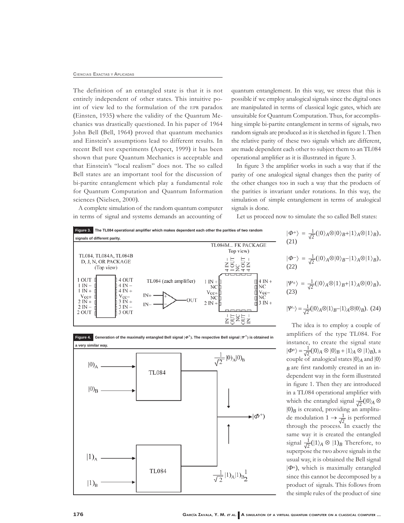#### **CIENCIAS EXACTAS Y APLICADAS**

The definition of an entangled state is that it is not entirely independent of other states. This intuitive point of view led to the formulation of the EPR paradox (Einsten, 1935) where the validity of the Quantum Mechanics was drastically questioned. In his paper of 1964 John Bell (Bell, 1964) proved that quantum mechanics and Einstein's assumptions lead to different results. In recent Bell test experiments (Aspect, 1999) it has been shown that pure Quantum Mechanics is acceptable and that Einstein's "local realism" does not. The so called Bell states are an important tool for the discussion of bi-partite entanglement which play a fundamental role for Quantum Computation and Quantum Information sciences (Nielsen, 2000).

quantum entanglement. In this way, we stress that this is possible if we employ analogical signals since the digital ones are manipulated in terms of classical logic gates, which are unsuitable for Quantum Computation. Thus, for accomplishing simple bi-partite entanglement in terms of signals, two random signals are produced as it is sketched in figure 1. Then the relative parity of these two signals which are different, are made dependent each other to subject them to an TL084 operational amplifier as it is illustrated in figure 3.

In figure 3 the amplifier works in such a way that if the parity of one analogical signal changes then the parity of the other changes too in such a way that the products of the parities is invariant under rotations. In this way, the simulation of simple entanglement in terms of analogical signals is done.

A complete simulation of the random quantum computer in terms of signal and systems demands an accounting of

Let us proceed now to simulate the so called Bell states:

 $\overline{(\}$ 





21)  
\n
$$
\Phi^{-} = \frac{1}{\sqrt{2}}(|0\rangle_{A} \otimes |0\rangle_{B} - |1\rangle_{A} \otimes |1\rangle_{B}),
$$
\n22)  
\n
$$
\Psi^{+} = \frac{1}{\sqrt{2}}(|0\rangle_{A} \otimes |1\rangle_{B} + |1\rangle_{A} \otimes |0\rangle_{B}),
$$
\n23)

 $|\Phi^{+}\rangle = \frac{1}{\sqrt{2}}(|0\rangle_{A} \otimes |0\rangle_{B} + |1\rangle_{A} \otimes |1\rangle_{B}),$ 

$$
|\Psi^-\rangle = \frac{1}{\sqrt{2}} (|0\rangle_A \otimes |1\rangle_B - |1\rangle_A \otimes |0\rangle_B). \tag{24}
$$

The idea is to employ a couple of amplifiers of the type TL084. For instance, to create the signal state  $|\Phi^{+}\rangle = \frac{1}{\sqrt{2}}(|0\rangle_{A} \otimes |0\rangle_{B} + |1\rangle_{A} \otimes |1\rangle_{B}),$  a couple of analogical states  $|0\rangle_A$  and  $|0\rangle$  $_B$  are first randomly created in an independent way in the form illustrated in figure 1. Then they are introduced in a TL084 operational amplifier with which the entangled signal  $\frac{1}{\sqrt{2}}(|0\rangle_A \otimes$  $|0\rangle_B$  is created, providing an amplitude modulation  $1 \rightarrow \frac{1}{\sqrt{2}}$  is performed through the process. In exactly the same way it is created the entangled signal  $\frac{1}{\sqrt{2}}(|1\rangle_A \otimes |1\rangle_B$  Therefore, to superpose the two above signals in the usual way, it is obtained the Bell signal  $|\Phi^+|$ , which is maximally entangled since this cannot be decomposed by a product of signals. This follows from the simple rules of the product of sine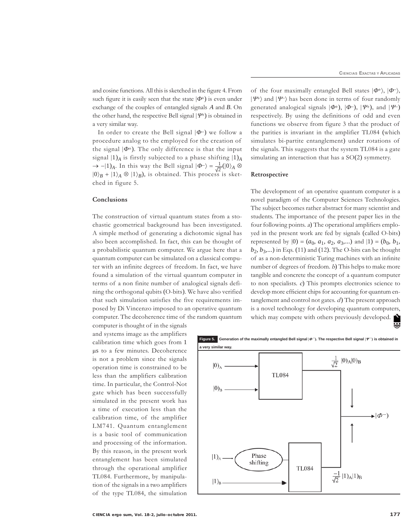and cosine functions. All this is sketched in the figure 4. From such figure it is easily seen that the state  $|\Phi^{\dagger}\rangle$  is even under exchange of the couples of entangled signals  $A$  and  $B$ . On the other hand, the respective Bell signal  $|\Psi^4\rangle$  is obtained in a very similar way.

In order to create the Bell signal  $|\Phi^{-}\rangle$  we follow a procedure analog to the employed for the creation of the signal  $|\Phi^+|$ . The only difference is that the input signal  $|1\rangle_A$  is firstly subjected to a phase shifting  $|1\rangle_A$  $\rightarrow$  -|1)<sub>A</sub>. In this way the Bell signal  $|\Phi^-\rangle = \frac{1}{\sqrt{2}}(|0\rangle_A \otimes$  $|0\rangle_B + |1\rangle_A \otimes |1\rangle_B$ , is obtained. This process is sketched in figure 5.

# Conclusions

The construction of virtual quantum states from a stochastic geometrical background has been investigated. A simple method of generating a dichotomic signal has also been accomplished. In fact, this can be thought of a probabilistic quantum computer. We argue here that a quantum computer can be simulated on a classical computer with an infinite degrees of freedom. In fact, we have found a simulation of the virtual quantum computer in terms of a non finite number of analogical signals defining the orthogonal qubits (O-bits). We have also verified that such simulation satisfies the five requirements imposed by Di Vincenzo imposed to an operative quantum computer. The decoherence time of the random quantum

computer is thought of in the signals and systems image as the amplifiers calibration time which goes from 1 us to a few minutes. Decoherence is not a problem since the signals operation time is constrained to be less than the amplifiers calibration time. In particular, the Control-Not gate which has been successfully simulated in the present work has a time of execution less than the calibration time, of the amplifier LM741. Quantum entanglement is a basic tool of communication and processing of the information. By this reason, in the present work entanglement has been simulated through the operational amplifier TL084. Furthermore, by manipulation of the signals in a two amplifiers of the type TL084, the simulation

a very similar way.  $\frac{1}{\sqrt{2}}$  |0)<sub>A</sub>|0)<sub>B</sub>  $|0\rangle$ <sub>A</sub> **TL084**  $|0)_B$  $\blacktriangleright |\phi^{-}\rangle$ Phase shifting **TL084**  $\frac{-1}{\sqrt{2}}|1)_A|1)_B$  $|1)_B$ 

Figure 5. Generation of the maximally entangled Bell signal  $|\varPhi^{-}$ ). The respective Bell signal  $|\varPsi^{-} \rangle$  is obtained in

 $|\Psi^+\rangle$  and  $|\Psi^-\rangle$  has been done in terms of four randomly generated analogical signals  $|\Phi^+|$ ,  $|\Phi^-|$ ,  $|\Psi^+|$ , and  $|\Psi^-|$ respectively. By using the definitions of odd and even functions we observe from figure 3 that the product of the parities is invariant in the amplifier TL084 (which simulates bi-partite entanglement) under rotations of the signals. This suggests that the system TL084 is a gate simulating an interaction that has a  $SO(2)$  symmetry.

of the four maximally entangled Bell states  $|\Phi^+\rangle$ ,  $|\Phi^-\rangle$ ,

# Retrospective

The development of an operative quantum computer is a novel paradigm of the Computer Sciences Technologies. The subject becomes rather abstract for many scientist and students. The importance of the present paper lies in the four following points. a) The operational amplifiers employed in the present work are fed by signals (called O-bits) represented by  $|0\rangle = (a_0, a_1, a_2, a_3,...)$  and  $|1\rangle = (b_0, b_1,$  $b_2, b_3, \ldots$ ) in Eqs. (11) and (12). The O-bits can be thought of as a non-deterministic Turing machines with an infinite number of degrees of freedom. b) This helps to make more tangible and concrete the concept of a quantum computer to non specialists.  $c$ ) This prompts electronics science to develop more efficient chips for accounting for quantum entanglement and control not gates.  $d$ ) The present approach is a novel technology for developing quantum computers, is a novel technology to develop the specifical property of the may compete with others previously developed.